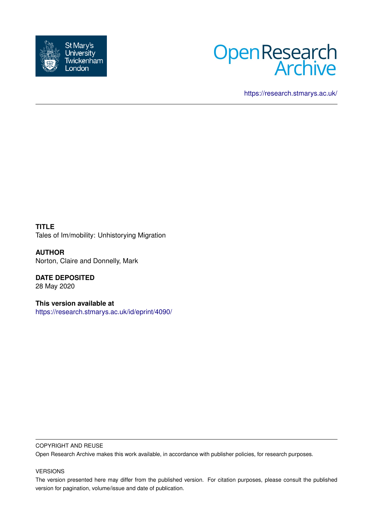



<https://research.stmarys.ac.uk/>

**TITLE** Tales of Im/mobility: Unhistorying Migration

**AUTHOR** Norton, Claire and Donnelly, Mark

**DATE DEPOSITED** 28 May 2020

**This version available at** <https://research.stmarys.ac.uk/id/eprint/4090/>

## COPYRIGHT AND REUSE

Open Research Archive makes this work available, in accordance with publisher policies, for research purposes.

## VERSIONS

The version presented here may differ from the published version. For citation purposes, please consult the published version for pagination, volume/issue and date of publication.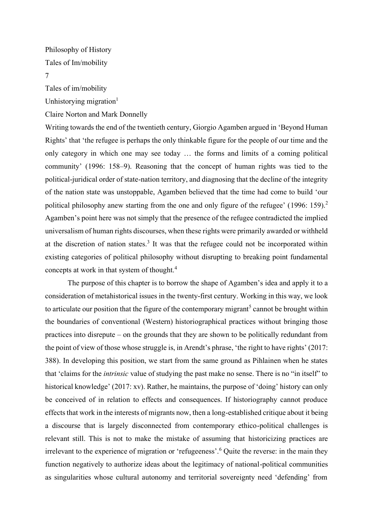Philosophy of History Tales of Im/mobility 7

Tales of im/mobility

Unhistorying migration $<sup>1</sup>$ </sup>

Claire Norton and Mark Donnelly

Writing towards the end of the twentieth century, Giorgio Agamben argued in 'Beyond Human Rights' that 'the refugee is perhaps the only thinkable figure for the people of our time and the only category in which one may see today … the forms and limits of a coming political community' (1996: 158–9). Reasoning that the concept of human rights was tied to the political-juridical order of state-nation territory, and diagnosing that the decline of the integrity of the nation state was unstoppable, Agamben believed that the time had come to build 'our political philosophy anew starting from the one and only figure of the refugee' (1996: 159).<sup>2</sup> Agamben's point here was not simply that the presence of the refugee contradicted the implied universalism of human rights discourses, when these rights were primarily awarded or withheld at the discretion of nation states.<sup>3</sup> It was that the refugee could not be incorporated within existing categories of political philosophy without disrupting to breaking point fundamental concepts at work in that system of thought.<sup>4</sup>

The purpose of this chapter is to borrow the shape of Agamben's idea and apply it to a consideration of metahistorical issues in the twenty-first century. Working in this way, we look to articulate our position that the figure of the contemporary migrant<sup>5</sup> cannot be brought within the boundaries of conventional (Western) historiographical practices without bringing those practices into disrepute – on the grounds that they are shown to be politically redundant from the point of view of those whose struggle is, in Arendt's phrase, 'the right to have rights' (2017: 388). In developing this position, we start from the same ground as Pihlainen when he states that 'claims for the *intrinsic* value of studying the past make no sense. There is no "in itself" to historical knowledge' (2017: xv). Rather, he maintains, the purpose of 'doing' history can only be conceived of in relation to effects and consequences. If historiography cannot produce effects that work in the interests of migrants now, then a long-established critique about it being a discourse that is largely disconnected from contemporary ethico-political challenges is relevant still. This is not to make the mistake of assuming that historicizing practices are irrelevant to the experience of migration or 'refugeeness'.<sup>6</sup> Quite the reverse: in the main they function negatively to authorize ideas about the legitimacy of national-political communities as singularities whose cultural autonomy and territorial sovereignty need 'defending' from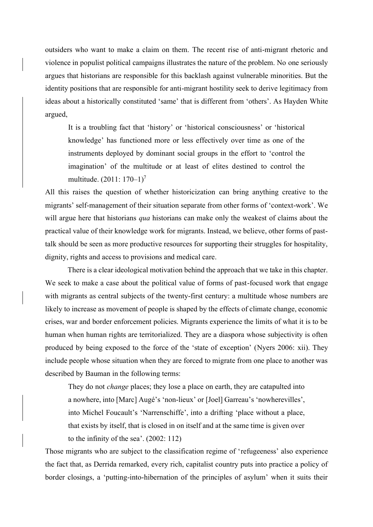outsiders who want to make a claim on them. The recent rise of anti-migrant rhetoric and violence in populist political campaigns illustrates the nature of the problem. No one seriously argues that historians are responsible for this backlash against vulnerable minorities. But the identity positions that are responsible for anti-migrant hostility seek to derive legitimacy from ideas about a historically constituted 'same' that is different from 'others'. As Hayden White argued,

It is a troubling fact that 'history' or 'historical consciousness' or 'historical knowledge' has functioned more or less effectively over time as one of the instruments deployed by dominant social groups in the effort to 'control the imagination' of the multitude or at least of elites destined to control the multitude.  $(2011: 170-1)^7$ 

All this raises the question of whether historicization can bring anything creative to the migrants' self-management of their situation separate from other forms of 'context-work'. We will argue here that historians *qua* historians can make only the weakest of claims about the practical value of their knowledge work for migrants. Instead, we believe, other forms of pasttalk should be seen as more productive resources for supporting their struggles for hospitality, dignity, rights and access to provisions and medical care.

There is a clear ideological motivation behind the approach that we take in this chapter. We seek to make a case about the political value of forms of past-focused work that engage with migrants as central subjects of the twenty-first century: a multitude whose numbers are likely to increase as movement of people is shaped by the effects of climate change, economic crises, war and border enforcement policies. Migrants experience the limits of what it is to be human when human rights are territorialized. They are a diaspora whose subjectivity is often produced by being exposed to the force of the 'state of exception' (Nyers 2006: xii). They include people whose situation when they are forced to migrate from one place to another was described by Bauman in the following terms:

They do not *change* places; they lose a place on earth, they are catapulted into a nowhere, into [Marc] Augé's 'non-lieux' or [Joel] Garreau's 'nowherevilles', into Michel Foucault's 'Narrenschiffe', into a drifting 'place without a place, that exists by itself, that is closed in on itself and at the same time is given over to the infinity of the sea'. (2002: 112)

Those migrants who are subject to the classification regime of 'refugeeness' also experience the fact that, as Derrida remarked, every rich, capitalist country puts into practice a policy of border closings, a 'putting-into-hibernation of the principles of asylum' when it suits their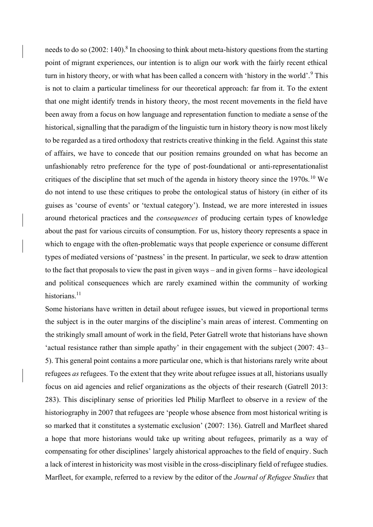needs to do so (2002: 140).<sup>8</sup> In choosing to think about meta-history questions from the starting point of migrant experiences, our intention is to align our work with the fairly recent ethical turn in history theory, or with what has been called a concern with 'history in the world'.<sup>9</sup> This is not to claim a particular timeliness for our theoretical approach: far from it. To the extent that one might identify trends in history theory, the most recent movements in the field have been away from a focus on how language and representation function to mediate a sense of the historical, signalling that the paradigm of the linguistic turn in history theory is now most likely to be regarded as a tired orthodoxy that restricts creative thinking in the field. Against this state of affairs, we have to concede that our position remains grounded on what has become an unfashionably retro preference for the type of post-foundational or anti-representationalist critiques of the discipline that set much of the agenda in history theory since the  $1970s$ .<sup>10</sup> We do not intend to use these critiques to probe the ontological status of history (in either of its guises as 'course of events' or 'textual category'). Instead, we are more interested in issues around rhetorical practices and the *consequences* of producing certain types of knowledge about the past for various circuits of consumption. For us, history theory represents a space in which to engage with the often-problematic ways that people experience or consume different types of mediated versions of 'pastness' in the present. In particular, we seek to draw attention to the fact that proposals to view the past in given ways – and in given forms – have ideological and political consequences which are rarely examined within the community of working historians.<sup>11</sup>

Some historians have written in detail about refugee issues, but viewed in proportional terms the subject is in the outer margins of the discipline's main areas of interest. Commenting on the strikingly small amount of work in the field, Peter Gatrell wrote that historians have shown 'actual resistance rather than simple apathy' in their engagement with the subject (2007: 43– 5). This general point contains a more particular one, which is that historians rarely write about refugees *as* refugees. To the extent that they write about refugee issues at all, historians usually focus on aid agencies and relief organizations as the objects of their research (Gatrell 2013: 283). This disciplinary sense of priorities led Philip Marfleet to observe in a review of the historiography in 2007 that refugees are 'people whose absence from most historical writing is so marked that it constitutes a systematic exclusion' (2007: 136). Gatrell and Marfleet shared a hope that more historians would take up writing about refugees, primarily as a way of compensating for other disciplines' largely ahistorical approaches to the field of enquiry. Such a lack of interest in historicity was most visible in the cross-disciplinary field of refugee studies. Marfleet, for example, referred to a review by the editor of the *Journal of Refugee Studies* that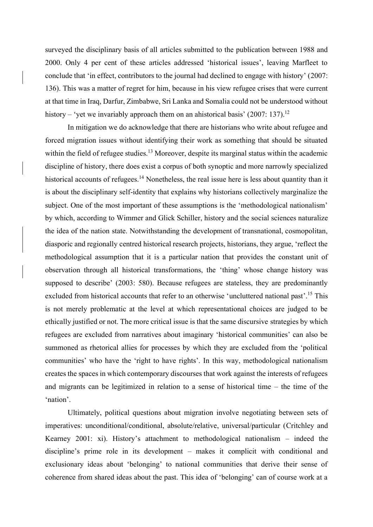surveyed the disciplinary basis of all articles submitted to the publication between 1988 and 2000. Only 4 per cent of these articles addressed 'historical issues', leaving Marfleet to conclude that 'in effect, contributors to the journal had declined to engage with history' (2007: 136). This was a matter of regret for him, because in his view refugee crises that were current at that time in Iraq, Darfur, Zimbabwe, Sri Lanka and Somalia could not be understood without history – 'yet we invariably approach them on an ahistorical basis' (2007: 137).<sup>12</sup>

In mitigation we do acknowledge that there are historians who write about refugee and forced migration issues without identifying their work as something that should be situated within the field of refugee studies.<sup>13</sup> Moreover, despite its marginal status within the academic discipline of history, there does exist a corpus of both synoptic and more narrowly specialized historical accounts of refugees.<sup>14</sup> Nonetheless, the real issue here is less about quantity than it is about the disciplinary self-identity that explains why historians collectively marginalize the subject. One of the most important of these assumptions is the 'methodological nationalism' by which, according to Wimmer and Glick Schiller, history and the social sciences naturalize the idea of the nation state. Notwithstanding the development of transnational, cosmopolitan, diasporic and regionally centred historical research projects, historians, they argue, 'reflect the methodological assumption that it is a particular nation that provides the constant unit of observation through all historical transformations, the 'thing' whose change history was supposed to describe' (2003: 580). Because refugees are stateless, they are predominantly excluded from historical accounts that refer to an otherwise 'uncluttered national past'.<sup>15</sup> This is not merely problematic at the level at which representational choices are judged to be ethically justified or not. The more critical issue is that the same discursive strategies by which refugees are excluded from narratives about imaginary 'historical communities' can also be summoned as rhetorical allies for processes by which they are excluded from the 'political communities' who have the 'right to have rights'. In this way, methodological nationalism creates the spaces in which contemporary discourses that work against the interests of refugees and migrants can be legitimized in relation to a sense of historical time – the time of the 'nation'.

Ultimately, political questions about migration involve negotiating between sets of imperatives: unconditional/conditional, absolute/relative, universal/particular (Critchley and Kearney 2001: xi). History's attachment to methodological nationalism – indeed the discipline's prime role in its development – makes it complicit with conditional and exclusionary ideas about 'belonging' to national communities that derive their sense of coherence from shared ideas about the past. This idea of 'belonging' can of course work at a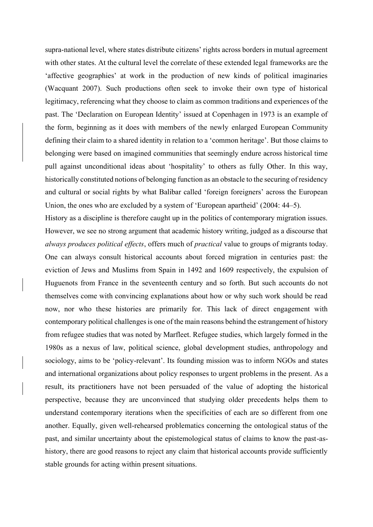supra-national level, where states distribute citizens' rights across borders in mutual agreement with other states. At the cultural level the correlate of these extended legal frameworks are the 'affective geographies' at work in the production of new kinds of political imaginaries (Wacquant 2007). Such productions often seek to invoke their own type of historical legitimacy, referencing what they choose to claim as common traditions and experiences of the past. The 'Declaration on European Identity' issued at Copenhagen in 1973 is an example of the form, beginning as it does with members of the newly enlarged European Community defining their claim to a shared identity in relation to a 'common heritage'. But those claims to belonging were based on imagined communities that seemingly endure across historical time pull against unconditional ideas about 'hospitality' to others as fully Other. In this way, historically constituted notions of belonging function as an obstacle to the securing of residency and cultural or social rights by what Balibar called 'foreign foreigners' across the European Union, the ones who are excluded by a system of 'European apartheid' (2004: 44–5).

History as a discipline is therefore caught up in the politics of contemporary migration issues. However, we see no strong argument that academic history writing, judged as a discourse that *always produces political effects*, offers much of *practical* value to groups of migrants today. One can always consult historical accounts about forced migration in centuries past: the eviction of Jews and Muslims from Spain in 1492 and 1609 respectively, the expulsion of Huguenots from France in the seventeenth century and so forth. But such accounts do not themselves come with convincing explanations about how or why such work should be read now, nor who these histories are primarily for. This lack of direct engagement with contemporary political challenges is one of the main reasons behind the estrangement of history from refugee studies that was noted by Marfleet. Refugee studies, which largely formed in the 1980s as a nexus of law, political science, global development studies, anthropology and sociology, aims to be 'policy-relevant'. Its founding mission was to inform NGOs and states and international organizations about policy responses to urgent problems in the present. As a result, its practitioners have not been persuaded of the value of adopting the historical perspective, because they are unconvinced that studying older precedents helps them to understand contemporary iterations when the specificities of each are so different from one another. Equally, given well-rehearsed problematics concerning the ontological status of the past, and similar uncertainty about the epistemological status of claims to know the past-ashistory, there are good reasons to reject any claim that historical accounts provide sufficiently stable grounds for acting within present situations.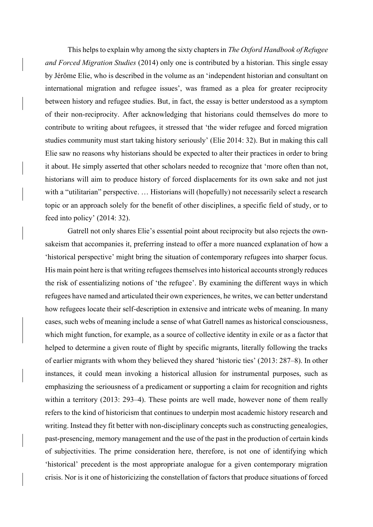This helps to explain why among the sixty chapters in *The Oxford Handbook of Refugee and Forced Migration Studies* (2014) only one is contributed by a historian. This single essay by Jérôme Elie, who is described in the volume as an 'independent historian and consultant on international migration and refugee issues', was framed as a plea for greater reciprocity between history and refugee studies. But, in fact, the essay is better understood as a symptom of their non-reciprocity. After acknowledging that historians could themselves do more to contribute to writing about refugees, it stressed that 'the wider refugee and forced migration studies community must start taking history seriously' (Elie 2014: 32). But in making this call Elie saw no reasons why historians should be expected to alter their practices in order to bring it about. He simply asserted that other scholars needed to recognize that 'more often than not, historians will aim to produce history of forced displacements for its own sake and not just with a "utilitarian" perspective. ... Historians will (hopefully) not necessarily select a research topic or an approach solely for the benefit of other disciplines, a specific field of study, or to feed into policy' (2014: 32).

Gatrell not only shares Elie's essential point about reciprocity but also rejects the ownsakeism that accompanies it, preferring instead to offer a more nuanced explanation of how a 'historical perspective' might bring the situation of contemporary refugees into sharper focus. His main point here is that writing refugees themselves into historical accounts strongly reduces the risk of essentializing notions of 'the refugee'. By examining the different ways in which refugees have named and articulated their own experiences, he writes, we can better understand how refugees locate their self-description in extensive and intricate webs of meaning. In many cases, such webs of meaning include a sense of what Gatrell names as historical consciousness, which might function, for example, as a source of collective identity in exile or as a factor that helped to determine a given route of flight by specific migrants, literally following the tracks of earlier migrants with whom they believed they shared 'historic ties' (2013: 287–8). In other instances, it could mean invoking a historical allusion for instrumental purposes, such as emphasizing the seriousness of a predicament or supporting a claim for recognition and rights within a territory (2013: 293–4). These points are well made, however none of them really refers to the kind of historicism that continues to underpin most academic history research and writing. Instead they fit better with non-disciplinary concepts such as constructing genealogies, past-presencing, memory management and the use of the past in the production of certain kinds of subjectivities. The prime consideration here, therefore, is not one of identifying which 'historical' precedent is the most appropriate analogue for a given contemporary migration crisis. Nor is it one of historicizing the constellation of factors that produce situations of forced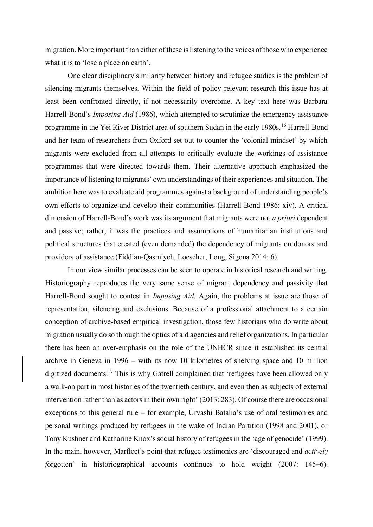migration. More important than either of these is listening to the voices of those who experience what it is to 'lose a place on earth'.

One clear disciplinary similarity between history and refugee studies is the problem of silencing migrants themselves. Within the field of policy-relevant research this issue has at least been confronted directly, if not necessarily overcome. A key text here was Barbara Harrell-Bond's *Imposing Aid* (1986), which attempted to scrutinize the emergency assistance programme in the Yei River District area of southern Sudan in the early 1980s.<sup>16</sup> Harrell-Bond and her team of researchers from Oxford set out to counter the 'colonial mindset' by which migrants were excluded from all attempts to critically evaluate the workings of assistance programmes that were directed towards them. Their alternative approach emphasized the importance of listening to migrants' own understandings of their experiences and situation. The ambition here was to evaluate aid programmes against a background of understanding people's own efforts to organize and develop their communities (Harrell-Bond 1986: xiv). A critical dimension of Harrell-Bond's work was its argument that migrants were not *a priori* dependent and passive; rather, it was the practices and assumptions of humanitarian institutions and political structures that created (even demanded) the dependency of migrants on donors and providers of assistance (Fiddian-Qasmiyeh, Loescher, Long, Sigona 2014: 6).

In our view similar processes can be seen to operate in historical research and writing. Historiography reproduces the very same sense of migrant dependency and passivity that Harrell-Bond sought to contest in *Imposing Aid.* Again, the problems at issue are those of representation, silencing and exclusions. Because of a professional attachment to a certain conception of archive-based empirical investigation, those few historians who do write about migration usually do so through the optics of aid agencies and relief organizations. In particular there has been an over-emphasis on the role of the UNHCR since it established its central archive in Geneva in 1996 – with its now 10 kilometres of shelving space and 10 million digitized documents.<sup>17</sup> This is why Gatrell complained that 'refugees have been allowed only a walk-on part in most histories of the twentieth century, and even then as subjects of external intervention rather than as actors in their own right' (2013: 283). Of course there are occasional exceptions to this general rule – for example, Urvashi Batalia's use of oral testimonies and personal writings produced by refugees in the wake of Indian Partition (1998 and 2001), or Tony Kushner and Katharine Knox's social history of refugees in the 'age of genocide' (1999). In the main, however, Marfleet's point that refugee testimonies are 'discouraged and *actively forgotten'* in historiographical accounts continues to hold weight (2007: 145–6).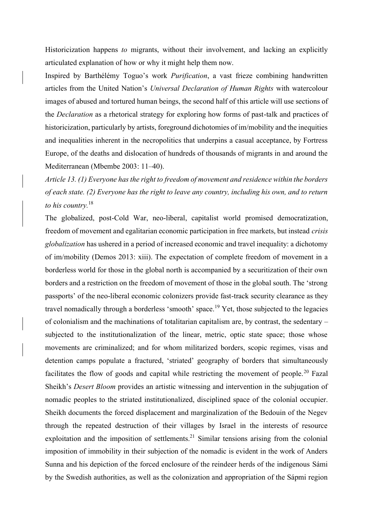Historicization happens *to* migrants, without their involvement, and lacking an explicitly articulated explanation of how or why it might help them now.

Inspired by Barthélémy Toguo's work *Purification*, a vast frieze combining handwritten articles from the United Nation's *Universal Declaration of Human Rights* with watercolour images of abused and tortured human beings, the second half of this article will use sections of the *Declaration* as a rhetorical strategy for exploring how forms of past-talk and practices of historicization, particularly by artists, foreground dichotomies of im/mobility and the inequities and inequalities inherent in the necropolitics that underpins a casual acceptance, by Fortress Europe, of the deaths and dislocation of hundreds of thousands of migrants in and around the Mediterranean (Mbembe 2003: 11–40).

*Article 13. (1) Everyone has the right to freedom of movement and residence within the borders of each state. (2) Everyone has the right to leave any country, including his own, and to return to his country.*<sup>18</sup>

The globalized, post-Cold War, neo-liberal, capitalist world promised democratization, freedom of movement and egalitarian economic participation in free markets, but instead *crisis globalization* has ushered in a period of increased economic and travel inequality: a dichotomy of im/mobility (Demos 2013: xiii). The expectation of complete freedom of movement in a borderless world for those in the global north is accompanied by a securitization of their own borders and a restriction on the freedom of movement of those in the global south. The 'strong passports' of the neo-liberal economic colonizers provide fast-track security clearance as they travel nomadically through a borderless 'smooth' space.<sup>19</sup> Yet, those subjected to the legacies of colonialism and the machinations of totalitarian capitalism are, by contrast, the sedentary – subjected to the institutionalization of the linear, metric, optic state space; those whose movements are criminalized; and for whom militarized borders, scopic regimes, visas and detention camps populate a fractured, 'striated' geography of borders that simultaneously facilitates the flow of goods and capital while restricting the movement of people.<sup>20</sup> Fazal Sheikh's *Desert Bloom* provides an artistic witnessing and intervention in the subjugation of nomadic peoples to the striated institutionalized, disciplined space of the colonial occupier. Sheikh documents the forced displacement and marginalization of the Bedouin of the Negev through the repeated destruction of their villages by Israel in the interests of resource exploitation and the imposition of settlements.<sup>21</sup> Similar tensions arising from the colonial imposition of immobility in their subjection of the nomadic is evident in the work of Anders Sunna and his depiction of the forced enclosure of the reindeer herds of the indigenous Sámi by the Swedish authorities, as well as the colonization and appropriation of the Sápmi region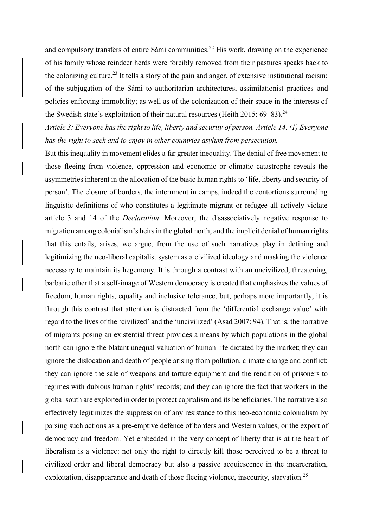and compulsory transfers of entire Sámi communities.<sup>22</sup> His work, drawing on the experience of his family whose reindeer herds were forcibly removed from their pastures speaks back to the colonizing culture.<sup>23</sup> It tells a story of the pain and anger, of extensive institutional racism; of the subjugation of the Sámi to authoritarian architectures, assimilationist practices and policies enforcing immobility; as well as of the colonization of their space in the interests of the Swedish state's exploitation of their natural resources (Heith 2015:  $69-83$ ).<sup>24</sup>

*Article 3: Everyone has the right to life, liberty and security of person. Article 14. (1) Everyone has the right to seek and to enjoy in other countries asylum from persecution.*

But this inequality in movement elides a far greater inequality. The denial of free movement to those fleeing from violence, oppression and economic or climatic catastrophe reveals the asymmetries inherent in the allocation of the basic human rights to 'life, liberty and security of person'. The closure of borders, the internment in camps, indeed the contortions surrounding linguistic definitions of who constitutes a legitimate migrant or refugee all actively violate article 3 and 14 of the *Declaration*. Moreover, the disassociatively negative response to migration among colonialism's heirs in the global north, and the implicit denial of human rights that this entails, arises, we argue, from the use of such narratives play in defining and legitimizing the neo-liberal capitalist system as a civilized ideology and masking the violence necessary to maintain its hegemony. It is through a contrast with an uncivilized, threatening, barbaric other that a self-image of Western democracy is created that emphasizes the values of freedom, human rights, equality and inclusive tolerance, but, perhaps more importantly, it is through this contrast that attention is distracted from the 'differential exchange value' with regard to the lives of the 'civilized' and the 'uncivilized' (Asad 2007: 94). That is, the narrative of migrants posing an existential threat provides a means by which populations in the global north can ignore the blatant unequal valuation of human life dictated by the market; they can ignore the dislocation and death of people arising from pollution, climate change and conflict; they can ignore the sale of weapons and torture equipment and the rendition of prisoners to regimes with dubious human rights' records; and they can ignore the fact that workers in the global south are exploited in order to protect capitalism and its beneficiaries. The narrative also effectively legitimizes the suppression of any resistance to this neo-economic colonialism by parsing such actions as a pre-emptive defence of borders and Western values, or the export of democracy and freedom. Yet embedded in the very concept of liberty that is at the heart of liberalism is a violence: not only the right to directly kill those perceived to be a threat to civilized order and liberal democracy but also a passive acquiescence in the incarceration, exploitation, disappearance and death of those fleeing violence, insecurity, starvation.<sup>25</sup>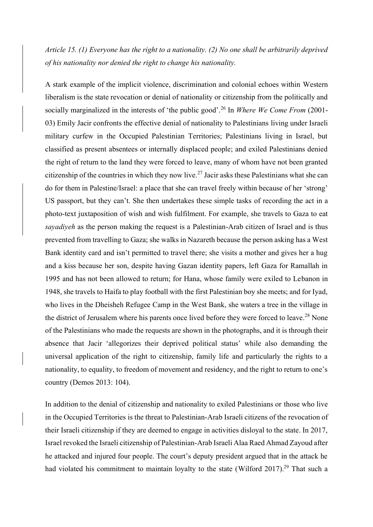*Article 15. (1) Everyone has the right to a nationality. (2) No one shall be arbitrarily deprived of his nationality nor denied the right to change his nationality.*

A stark example of the implicit violence, discrimination and colonial echoes within Western liberalism is the state revocation or denial of nationality or citizenship from the politically and socially marginalized in the interests of 'the public good'.<sup>26</sup> In *Where We Come From* (2001- 03) Emily Jacir confronts the effective denial of nationality to Palestinians living under Israeli military curfew in the Occupied Palestinian Territories; Palestinians living in Israel, but classified as present absentees or internally displaced people; and exiled Palestinians denied the right of return to the land they were forced to leave, many of whom have not been granted citizenship of the countries in which they now live.<sup>27</sup> Jacir asks these Palestinians what she can do for them in Palestine/Israel: a place that she can travel freely within because of her 'strong' US passport, but they can't. She then undertakes these simple tasks of recording the act in a photo-text juxtaposition of wish and wish fulfilment. For example, she travels to Gaza to eat *sayadiyeh* as the person making the request is a Palestinian-Arab citizen of Israel and is thus prevented from travelling to Gaza; she walks in Nazareth because the person asking has a West Bank identity card and isn't permitted to travel there; she visits a mother and gives her a hug and a kiss because her son, despite having Gazan identity papers, left Gaza for Ramallah in 1995 and has not been allowed to return; for Hana, whose family were exiled to Lebanon in 1948, she travels to Haifa to play football with the first Palestinian boy she meets; and for Iyad, who lives in the Dheisheh Refugee Camp in the West Bank, she waters a tree in the village in the district of Jerusalem where his parents once lived before they were forced to leave.<sup>28</sup> None of the Palestinians who made the requests are shown in the photographs, and it is through their absence that Jacir 'allegorizes their deprived political status' while also demanding the universal application of the right to citizenship, family life and particularly the rights to a nationality, to equality, to freedom of movement and residency, and the right to return to one's country (Demos 2013: 104).

In addition to the denial of citizenship and nationality to exiled Palestinians or those who live in the Occupied Territories is the threat to Palestinian-Arab Israeli citizens of the revocation of their Israeli citizenship if they are deemed to engage in activities disloyal to the state. In 2017, Israel revoked the Israeli citizenship of Palestinian-Arab Israeli Alaa Raed Ahmad Zayoud after he attacked and injured four people. The court's deputy president argued that in the attack he had violated his commitment to maintain loyalty to the state (Wilford 2017).<sup>29</sup> That such a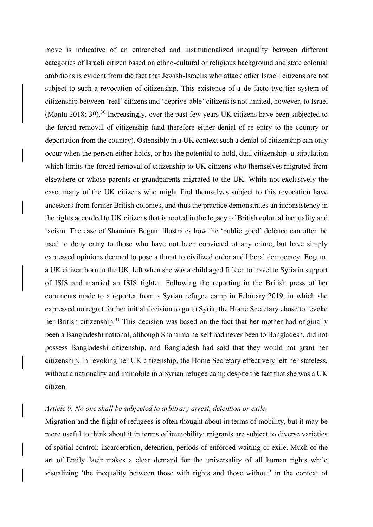move is indicative of an entrenched and institutionalized inequality between different categories of Israeli citizen based on ethno-cultural or religious background and state colonial ambitions is evident from the fact that Jewish-Israelis who attack other Israeli citizens are not subject to such a revocation of citizenship. This existence of a de facto two-tier system of citizenship between 'real' citizens and 'deprive-able' citizens is not limited, however, to Israel (Mantu 2018: 39).<sup>30</sup> Increasingly, over the past few years UK citizens have been subjected to the forced removal of citizenship (and therefore either denial of re-entry to the country or deportation from the country). Ostensibly in a UK context such a denial of citizenship can only occur when the person either holds, or has the potential to hold, dual citizenship: a stipulation which limits the forced removal of citizenship to UK citizens who themselves migrated from elsewhere or whose parents or grandparents migrated to the UK. While not exclusively the case, many of the UK citizens who might find themselves subject to this revocation have ancestors from former British colonies, and thus the practice demonstrates an inconsistency in the rights accorded to UK citizens that is rooted in the legacy of British colonial inequality and racism. The case of Shamima Begum illustrates how the 'public good' defence can often be used to deny entry to those who have not been convicted of any crime, but have simply expressed opinions deemed to pose a threat to civilized order and liberal democracy. Begum, a UK citizen born in the UK, left when she was a child aged fifteen to travel to Syria in support of ISIS and married an ISIS fighter. Following the reporting in the British press of her comments made to a reporter from a Syrian refugee camp in February 2019, in which she expressed no regret for her initial decision to go to Syria, the Home Secretary chose to revoke her British citizenship.<sup>31</sup> This decision was based on the fact that her mother had originally been a Bangladeshi national, although Shamima herself had never been to Bangladesh, did not possess Bangladeshi citizenship, and Bangladesh had said that they would not grant her citizenship. In revoking her UK citizenship, the Home Secretary effectively left her stateless, without a nationality and immobile in a Syrian refugee camp despite the fact that she was a UK citizen.

## *Article 9. No one shall be subjected to arbitrary arrest, detention or exile.*

Migration and the flight of refugees is often thought about in terms of mobility, but it may be more useful to think about it in terms of immobility: migrants are subject to diverse varieties of spatial control: incarceration, detention, periods of enforced waiting or exile. Much of the art of Emily Jacir makes a clear demand for the universality of all human rights while visualizing 'the inequality between those with rights and those without' in the context of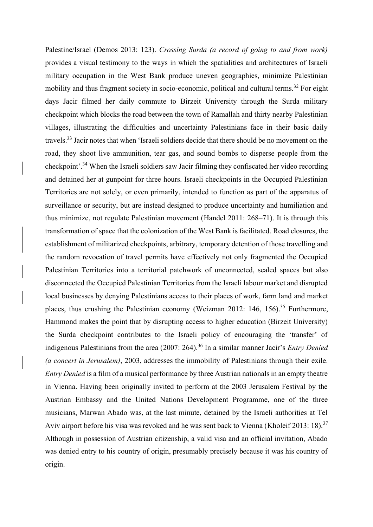Palestine/Israel (Demos 2013: 123). *Crossing Surda (a record of going to and from work)* provides a visual testimony to the ways in which the spatialities and architectures of Israeli military occupation in the West Bank produce uneven geographies, minimize Palestinian mobility and thus fragment society in socio-economic, political and cultural terms.<sup>32</sup> For eight days Jacir filmed her daily commute to Birzeit University through the Surda military checkpoint which blocks the road between the town of Ramallah and thirty nearby Palestinian villages, illustrating the difficulties and uncertainty Palestinians face in their basic daily travels.<sup>33</sup> Jacir notes that when 'Israeli soldiers decide that there should be no movement on the road, they shoot live ammunition, tear gas, and sound bombs to disperse people from the checkpoint'.<sup>34</sup> When the Israeli soldiers saw Jacir filming they confiscated her video recording and detained her at gunpoint for three hours. Israeli checkpoints in the Occupied Palestinian Territories are not solely, or even primarily, intended to function as part of the apparatus of surveillance or security, but are instead designed to produce uncertainty and humiliation and thus minimize, not regulate Palestinian movement (Handel 2011: 268–71). It is through this transformation of space that the colonization of the West Bank is facilitated. Road closures, the establishment of militarized checkpoints, arbitrary, temporary detention of those travelling and the random revocation of travel permits have effectively not only fragmented the Occupied Palestinian Territories into a territorial patchwork of unconnected, sealed spaces but also disconnected the Occupied Palestinian Territories from the Israeli labour market and disrupted local businesses by denying Palestinians access to their places of work, farm land and market places, thus crushing the Palestinian economy (Weizman 2012:  $146$ ,  $156$ ).<sup>35</sup> Furthermore, Hammond makes the point that by disrupting access to higher education (Birzeit University) the Surda checkpoint contributes to the Israeli policy of encouraging the 'transfer' of indigenous Palestinians from the area (2007: 264).<sup>36</sup> In a similar manner Jacir's *Entry Denied (a concert in Jerusalem)*, 2003, addresses the immobility of Palestinians through their exile. *Entry Denied* is a film of a musical performance by three Austrian nationals in an empty theatre in Vienna. Having been originally invited to perform at the 2003 Jerusalem Festival by the Austrian Embassy and the United Nations Development Programme, one of the three musicians, Marwan Abado was, at the last minute, detained by the Israeli authorities at Tel Aviv airport before his visa was revoked and he was sent back to Vienna (Kholeif 2013: 18).<sup>37</sup> Although in possession of Austrian citizenship, a valid visa and an official invitation, Abado was denied entry to his country of origin, presumably precisely because it was his country of origin.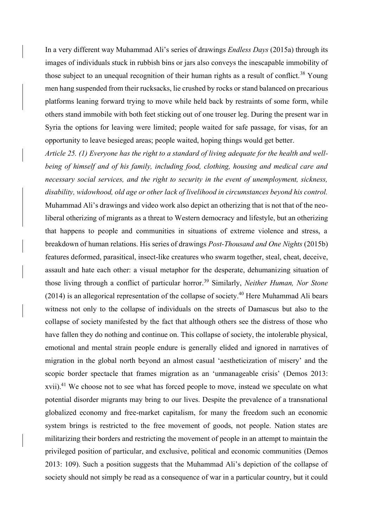In a very different way Muhammad Ali's series of drawings *Endless Days* (2015a) through its images of individuals stuck in rubbish bins or jars also conveys the inescapable immobility of those subject to an unequal recognition of their human rights as a result of conflict.<sup>38</sup> Young men hang suspended from their rucksacks, lie crushed by rocks or stand balanced on precarious platforms leaning forward trying to move while held back by restraints of some form, while others stand immobile with both feet sticking out of one trouser leg. During the present war in Syria the options for leaving were limited; people waited for safe passage, for visas, for an opportunity to leave besieged areas; people waited, hoping things would get better.

*Article 25. (1) Everyone has the right to a standard of living adequate for the health and wellbeing of himself and of his family, including food, clothing, housing and medical care and necessary social services, and the right to security in the event of unemployment, sickness, disability, widowhood, old age or other lack of livelihood in circumstances beyond his control.* Muhammad Ali's drawings and video work also depict an otherizing that is not that of the neoliberal otherizing of migrants as a threat to Western democracy and lifestyle, but an otherizing that happens to people and communities in situations of extreme violence and stress, a breakdown of human relations. His series of drawings *Post-Thousand and One Nights* (2015b) features deformed, parasitical, insect-like creatures who swarm together, steal, cheat, deceive, assault and hate each other: a visual metaphor for the desperate, dehumanizing situation of those living through a conflict of particular horror.<sup>39</sup> Similarly, *Neither Human, Nor Stone* (2014) is an allegorical representation of the collapse of society.<sup>40</sup> Here Muhammad Ali bears witness not only to the collapse of individuals on the streets of Damascus but also to the collapse of society manifested by the fact that although others see the distress of those who have fallen they do nothing and continue on. This collapse of society, the intolerable physical, emotional and mental strain people endure is generally elided and ignored in narratives of migration in the global north beyond an almost casual 'aestheticization of misery' and the scopic border spectacle that frames migration as an 'unmanageable crisis' (Demos 2013: xvii).<sup>41</sup> We choose not to see what has forced people to move, instead we speculate on what potential disorder migrants may bring to our lives. Despite the prevalence of a transnational globalized economy and free-market capitalism, for many the freedom such an economic system brings is restricted to the free movement of goods, not people. Nation states are militarizing their borders and restricting the movement of people in an attempt to maintain the privileged position of particular, and exclusive, political and economic communities (Demos 2013: 109). Such a position suggests that the Muhammad Ali's depiction of the collapse of society should not simply be read as a consequence of war in a particular country, but it could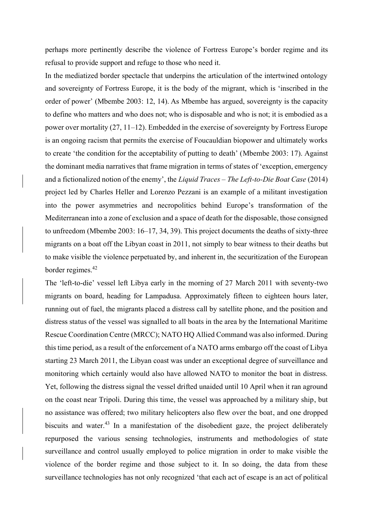perhaps more pertinently describe the violence of Fortress Europe's border regime and its refusal to provide support and refuge to those who need it.

In the mediatized border spectacle that underpins the articulation of the intertwined ontology and sovereignty of Fortress Europe, it is the body of the migrant, which is 'inscribed in the order of power' (Mbembe 2003: 12, 14). As Mbembe has argued, sovereignty is the capacity to define who matters and who does not; who is disposable and who is not; it is embodied as a power over mortality (27, 11–12). Embedded in the exercise of sovereignty by Fortress Europe is an ongoing racism that permits the exercise of Foucauldian biopower and ultimately works to create 'the condition for the acceptability of putting to death' (Mbembe 2003: 17). Against the dominant media narratives that frame migration in terms of states of 'exception, emergency and a fictionalized notion of the enemy', the *Liquid Traces – The Left-to-Die Boat Case* (2014) project led by Charles Heller and Lorenzo Pezzani is an example of a militant investigation into the power asymmetries and necropolitics behind Europe's transformation of the Mediterranean into a zone of exclusion and a space of death for the disposable, those consigned to unfreedom (Mbembe 2003: 16–17, 34, 39). This project documents the deaths of sixty-three migrants on a boat off the Libyan coast in 2011, not simply to bear witness to their deaths but to make visible the violence perpetuated by, and inherent in, the securitization of the European border regimes.<sup>42</sup>

The 'left-to-die' vessel left Libya early in the morning of 27 March 2011 with seventy-two migrants on board, heading for Lampadusa. Approximately fifteen to eighteen hours later, running out of fuel, the migrants placed a distress call by satellite phone, and the position and distress status of the vessel was signalled to all boats in the area by the International Maritime Rescue Coordination Centre (MRCC); NATO HQ Allied Command was also informed. During this time period, as a result of the enforcement of a NATO arms embargo off the coast of Libya starting 23 March 2011, the Libyan coast was under an exceptional degree of surveillance and monitoring which certainly would also have allowed NATO to monitor the boat in distress. Yet, following the distress signal the vessel drifted unaided until 10 April when it ran aground on the coast near Tripoli. During this time, the vessel was approached by a military ship, but no assistance was offered; two military helicopters also flew over the boat, and one dropped biscuits and water.<sup>43</sup> In a manifestation of the disobedient gaze, the project deliberately repurposed the various sensing technologies, instruments and methodologies of state surveillance and control usually employed to police migration in order to make visible the violence of the border regime and those subject to it. In so doing, the data from these surveillance technologies has not only recognized 'that each act of escape is an act of political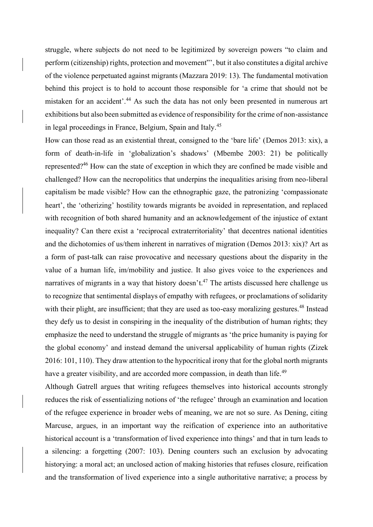struggle, where subjects do not need to be legitimized by sovereign powers "to claim and perform (citizenship) rights, protection and movement"', but it also constitutes a digital archive of the violence perpetuated against migrants (Mazzara 2019: 13). The fundamental motivation behind this project is to hold to account those responsible for 'a crime that should not be mistaken for an accident'.<sup>44</sup> As such the data has not only been presented in numerous art exhibitions but also been submitted as evidence of responsibility for the crime of non-assistance in legal proceedings in France, Belgium, Spain and Italy.<sup>45</sup>

How can those read as an existential threat, consigned to the 'bare life' (Demos 2013: xix), a form of death-in-life in 'globalization's shadows' (Mbembe 2003: 21) be politically represented?<sup>46</sup> How can the state of exception in which they are confined be made visible and challenged? How can the necropolitics that underpins the inequalities arising from neo-liberal capitalism be made visible? How can the ethnographic gaze, the patronizing 'compassionate heart', the 'otherizing' hostility towards migrants be avoided in representation, and replaced with recognition of both shared humanity and an acknowledgement of the injustice of extant inequality? Can there exist a 'reciprocal extraterritoriality' that decentres national identities and the dichotomies of us/them inherent in narratives of migration (Demos 2013: xix)? Art as a form of past-talk can raise provocative and necessary questions about the disparity in the value of a human life, im/mobility and justice. It also gives voice to the experiences and narratives of migrants in a way that history doesn't.<sup>47</sup> The artists discussed here challenge us to recognize that sentimental displays of empathy with refugees, or proclamations of solidarity with their plight, are insufficient; that they are used as too-easy moralizing gestures.<sup>48</sup> Instead they defy us to desist in conspiring in the inequality of the distribution of human rights; they emphasize the need to understand the struggle of migrants as 'the price humanity is paying for the global economy' and instead demand the universal applicability of human rights (Zizek 2016: 101, 110). They draw attention to the hypocritical irony that for the global north migrants have a greater visibility, and are accorded more compassion, in death than life.<sup>49</sup>

Although Gatrell argues that writing refugees themselves into historical accounts strongly reduces the risk of essentializing notions of 'the refugee' through an examination and location of the refugee experience in broader webs of meaning, we are not so sure. As Dening, citing Marcuse, argues, in an important way the reification of experience into an authoritative historical account is a 'transformation of lived experience into things' and that in turn leads to a silencing: a forgetting (2007: 103). Dening counters such an exclusion by advocating historying: a moral act; an unclosed action of making histories that refuses closure, reification and the transformation of lived experience into a single authoritative narrative; a process by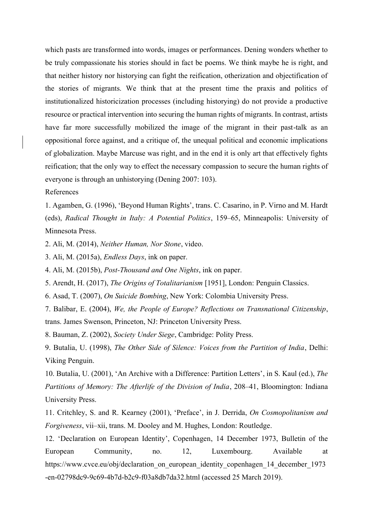which pasts are transformed into words, images or performances. Dening wonders whether to be truly compassionate his stories should in fact be poems. We think maybe he is right, and that neither history nor historying can fight the reification, otherization and objectification of the stories of migrants. We think that at the present time the praxis and politics of institutionalized historicization processes (including historying) do not provide a productive resource or practical intervention into securing the human rights of migrants. In contrast, artists have far more successfully mobilized the image of the migrant in their past-talk as an oppositional force against, and a critique of, the unequal political and economic implications of globalization. Maybe Marcuse was right, and in the end it is only art that effectively fights reification; that the only way to effect the necessary compassion to secure the human rights of everyone is through an unhistorying (Dening 2007: 103).

References

1. Agamben, G. (1996), 'Beyond Human Rights', trans. C. Casarino, in P. Virno and M. Hardt (eds), *Radical Thought in Italy: A Potential Politics*, 159–65, Minneapolis: University of Minnesota Press.

2. Ali, M. (2014), *Neither Human, Nor Stone*, video.

3. Ali, M. (2015a), *Endless Days*, ink on paper.

4. Ali, M. (2015b), *Post-Thousand and One Nights*, ink on paper.

5. Arendt, H. (2017), *The Origins of Totalitarianism* [1951], London: Penguin Classics.

6. Asad, T. (2007), *On Suicide Bombing*, New York: Colombia University Press.

7. Balibar, E. (2004), *We, the People of Europe? Reflections on Transnational Citizenship*, trans. James Swenson, Princeton, NJ: Princeton University Press.

8. Bauman, Z. (2002), *Society Under Siege*, Cambridge: Polity Press.

9. Butalia, U. (1998), *The Other Side of Silence: Voices from the Partition of India*, Delhi: Viking Penguin.

10. Butalia, U. (2001), 'An Archive with a Difference: Partition Letters', in S. Kaul (ed.), *The Partitions of Memory: The Afterlife of the Division of India*, 208–41, Bloomington: Indiana University Press.

11. Critchley, S. and R. Kearney (2001), 'Preface', in J. Derrida, *On Cosmopolitanism and Forgiveness*, vii–xii, trans. M. Dooley and M. Hughes, London: Routledge.

12. 'Declaration on European Identity', Copenhagen, 14 December 1973, Bulletin of the European Community, no. 12, Luxembourg. Available at https://www.cvce.eu/obj/declaration\_on\_european\_identity\_copenhagen\_14\_december\_1973 -en-02798dc9-9c69-4b7d-b2c9-f03a8db7da32.html (accessed 25 March 2019).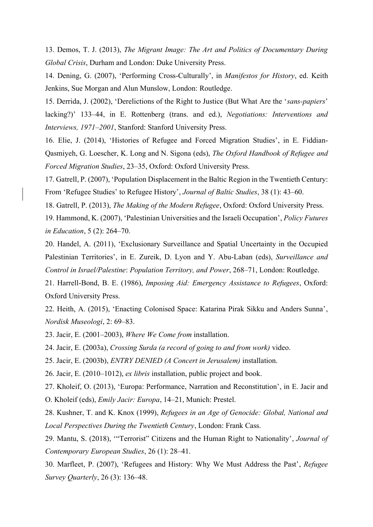13. Demos, T. J. (2013), *The Migrant Image: The Art and Politics of Documentary During Global Crisis*, Durham and London: Duke University Press.

14. Dening, G. (2007), 'Performing Cross-Culturally', in *Manifestos for History*, ed. Keith Jenkins, Sue Morgan and Alun Munslow, London: Routledge.

15. Derrida, J. (2002), 'Derelictions of the Right to Justice (But What Are the '*sans-papiers*' lacking?)' 133–44, in E. Rottenberg (trans. and ed.), *Negotiations: Interventions and Interviews, 1971–2001*, Stanford: Stanford University Press.

16. Elie, J. (2014), 'Histories of Refugee and Forced Migration Studies', in E. Fiddian-Qasmiyeh, G. Loescher, K. Long and N. Sigona (eds), *The Oxford Handbook of Refugee and Forced Migration Studies*, 23–35, Oxford: Oxford University Press.

17. Gatrell, P. (2007), 'Population Displacement in the Baltic Region in the Twentieth Century: From 'Refugee Studies' to Refugee History', *Journal of Baltic Studies*, 38 (1): 43–60.

18. Gatrell, P. (2013), *The Making of the Modern Refugee*, Oxford: Oxford University Press.

19. Hammond, K. (2007), 'Palestinian Universities and the Israeli Occupation', *Policy Futures in Education*, 5 (2): 264–70.

20. Handel, A. (2011), 'Exclusionary Surveillance and Spatial Uncertainty in the Occupied Palestinian Territories', in E. Zureik, D. Lyon and Y. Abu-Laban (eds), *Surveillance and Control in Israel/Palestine*: *Population Territory, and Power*, 268–71, London: Routledge.

21. Harrell-Bond, B. E. (1986), *Imposing Aid: Emergency Assistance to Refugees*, Oxford: Oxford University Press.

22. Heith, A. (2015), 'Enacting Colonised Space: Katarina Pirak Sikku and Anders Sunna', *Nordisk Museologi*, 2: 69–83.

23. Jacir, E. (2001–2003), *Where We Come from* installation.

24. Jacir, E. (2003a), *Crossing Surda (a record of going to and from work)* video.

25. Jacir, E. (2003b), *ENTRY DENIED (A Concert in Jerusalem)* installation.

26. Jacir, E. (2010–1012), *ex libris* installation, public project and book.

27. Kholeif, O. (2013), 'Europa: Performance, Narration and Reconstitution', in E. Jacir and O. Kholeif (eds), *Emily Jacir: Europa*, 14–21, Munich: Prestel.

28. Kushner, T. and K. Knox (1999), *Refugees in an Age of Genocide: Global, National and Local Perspectives During the Twentieth Century*, London: Frank Cass.

29. Mantu, S. (2018), '"Terrorist" Citizens and the Human Right to Nationality', *Journal of Contemporary European Studies*, 26 (1): 28–41.

30. Marfleet, P. (2007), 'Refugees and History: Why We Must Address the Past', *Refugee Survey Quarterly*, 26 (3): 136–48.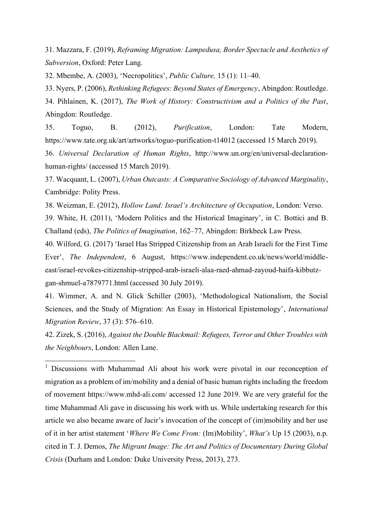31. Mazzara, F. (2019), *Reframing Migration: Lampedusa, Border Spectacle and Aesthetics of Subversion*, Oxford: Peter Lang.

32. Mbembe, A. (2003), 'Necropolitics', *Public Culture,* 15 (1): 11–40.

33. Nyers, P. (2006), *Rethinking Refugees: Beyond States of Emergency*, Abingdon: Routledge. 34. Pihlainen, K. (2017), *The Work of History: Constructivism and a Politics of the Past*, Abingdon: Routledge.

35. Toguo, B. (2012), *Purification*, London: Tate Modern, https://www.tate.org.uk/art/artworks/toguo-purification-t14012 (accessed 15 March 2019).

36. *Universal Declaration of Human Rights*, http://www.un.org/en/universal-declarationhuman-rights/ (accessed 15 March 2019).

37. Wacquant, L. (2007), *Urban Outcasts: A Comparative Sociology of Advanced Marginality*, Cambridge: Polity Press.

38. Weizman, E. (2012), *Hollow Land: Israel's Architecture of Occupation*, London: Verso.

39. White, H. (2011), 'Modern Politics and the Historical Imaginary', in C. Bottici and B. Challand (eds), *The Politics of Imagination*, 162–77, Abingdon: Birkbeck Law Press.

40. Wilford, G. (2017) 'Israel Has Stripped Citizenship from an Arab Israeli for the First Time Ever', *The Independent*, 6 August, https://www.independent.co.uk/news/world/middleeast/israel-revokes-citizenship-stripped-arab-israeli-alaa-raed-ahmad-zayoud-haifa-kibbutzgan-shmuel-a7879771.html (accessed 30 July 2019).

41. Wimmer, A. and N. Glick Schiller (2003), 'Methodological Nationalism, the Social Sciences, and the Study of Migration: An Essay in Historical Epistemology', *International Migration Review*, 37 (3): 576–610.

42. Zizek, S. (2016), *Against the Double Blackmail: Refugees, Terror and Other Troubles with the Neighbours*, London: Allen Lane.

<sup>1</sup> Discussions with Muhammad Ali about his work were pivotal in our reconception of migration as a problem of im/mobility and a denial of basic human rights including the freedom of movement https://www.mhd-ali.com/ accessed 12 June 2019. We are very grateful for the time Muhammad Ali gave in discussing his work with us. While undertaking research for this article we also became aware of Jacir's invocation of the concept of (im)mobility and her use of it in her artist statement '*Where We Come From:* (Im)Mobility', *What's* Up 15 (2003), n.p. cited in T. J. Demos, *The Migrant Image: The Art and Politics of Documentary During Global Crisis* (Durham and London: Duke University Press, 2013), 273.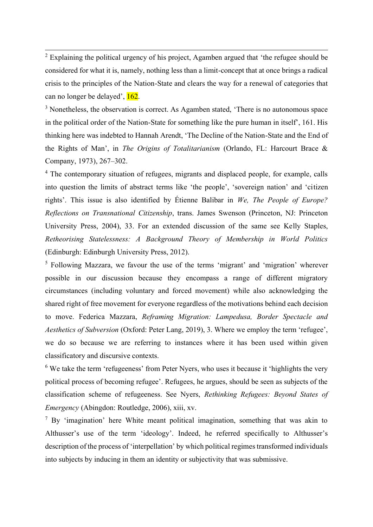$2$  Explaining the political urgency of his project, Agamben argued that 'the refugee should be considered for what it is, namely, nothing less than a limit-concept that at once brings a radical crisis to the principles of the Nation-State and clears the way for a renewal of categories that can no longer be delayed', 162.

<sup>3</sup> Nonetheless, the observation is correct. As Agamben stated, 'There is no autonomous space in the political order of the Nation-State for something like the pure human in itself', 161. His thinking here was indebted to Hannah Arendt, 'The Decline of the Nation-State and the End of the Rights of Man', in *The Origins of Totalitarianism* (Orlando, FL: Harcourt Brace & Company, 1973), 267–302.

<sup>4</sup> The contemporary situation of refugees, migrants and displaced people, for example, calls into question the limits of abstract terms like 'the people', 'sovereign nation' and 'citizen rights'. This issue is also identified by Étienne Balibar in *We, The People of Europe? Reflections on Transnational Citizenship*, trans. James Swenson (Princeton, NJ: Princeton University Press, 2004), 33. For an extended discussion of the same see Kelly Staples, *Retheorising Statelessness: A Background Theory of Membership in World Politics*  (Edinburgh: Edinburgh University Press, 2012).

<sup>5</sup> Following Mazzara, we favour the use of the terms 'migrant' and 'migration' wherever possible in our discussion because they encompass a range of different migratory circumstances (including voluntary and forced movement) while also acknowledging the shared right of free movement for everyone regardless of the motivations behind each decision to move. Federica Mazzara, *Reframing Migration: Lampedusa, Border Spectacle and Aesthetics of Subversion* (Oxford: Peter Lang, 2019), 3. Where we employ the term 'refugee', we do so because we are referring to instances where it has been used within given classificatory and discursive contexts.

 $6$  We take the term 'refugeeness' from Peter Nyers, who uses it because it 'highlights the very political process of becoming refugee'. Refugees, he argues, should be seen as subjects of the classification scheme of refugeeness. See Nyers, *Rethinking Refugees: Beyond States of Emergency* (Abingdon: Routledge, 2006), xiii, xv.

 $\frac{7}{1}$  By 'imagination' here White meant political imagination, something that was akin to Althusser's use of the term 'ideology'. Indeed, he referred specifically to Althusser's description of the process of 'interpellation' by which political regimes transformed individuals into subjects by inducing in them an identity or subjectivity that was submissive.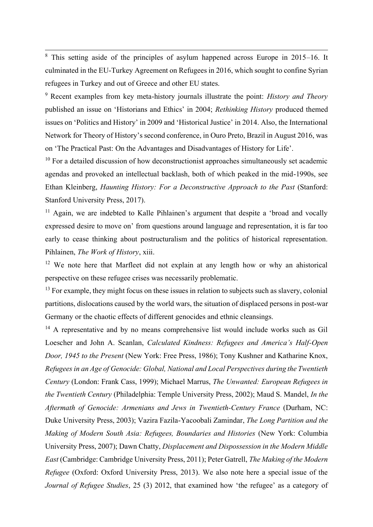<sup>8</sup> This setting aside of the principles of asylum happened across Europe in 2015–16. It culminated in the EU-Turkey Agreement on Refugees in 2016, which sought to confine Syrian refugees in Turkey and out of Greece and other EU states.

<sup>9</sup> Recent examples from key meta-history journals illustrate the point: *History and Theory*  published an issue on 'Historians and Ethics' in 2004; *Rethinking History* produced themed issues on 'Politics and History' in 2009 and 'Historical Justice' in 2014. Also, the International Network for Theory of History's second conference, in Ouro Preto, Brazil in August 2016, was on 'The Practical Past: On the Advantages and Disadvantages of History for Life'.

 $10$  For a detailed discussion of how deconstructionist approaches simultaneously set academic agendas and provoked an intellectual backlash, both of which peaked in the mid-1990s, see Ethan Kleinberg, *Haunting History: For a Deconstructive Approach to the Past* (Stanford: Stanford University Press, 2017).

 $11$  Again, we are indebted to Kalle Pihlainen's argument that despite a 'broad and vocally expressed desire to move on' from questions around language and representation, it is far too early to cease thinking about postructuralism and the politics of historical representation. Pihlainen, *The Work of History*, xiii.

<sup>12</sup> We note here that Marfleet did not explain at any length how or why an ahistorical perspective on these refugee crises was necessarily problematic.

 $13$  For example, they might focus on these issues in relation to subjects such as slavery, colonial partitions, dislocations caused by the world wars, the situation of displaced persons in post-war Germany or the chaotic effects of different genocides and ethnic cleansings.

<sup>14</sup> A representative and by no means comprehensive list would include works such as Gil Loescher and John A. Scanlan, *Calculated Kindness: Refugees and America's Half-Open Door, 1945 to the Present* (New York: Free Press, 1986); Tony Kushner and Katharine Knox, *Refugees in an Age of Genocide: Global, National and Local Perspectives during the Twentieth Century* (London: Frank Cass, 1999); Michael Marrus, *The Unwanted: European Refugees in the Twentieth Century* (Philadelphia: Temple University Press, 2002); Maud S. Mandel, *In the Aftermath of Genocide: Armenians and Jews in Twentieth-Century France* (Durham, NC: Duke University Press, 2003); Vazira Fazila-Yacoobali Zamindar, *The Long Partition and the Making of Modern South Asia: Refugees, Boundaries and Histories* (New York: Columbia University Press, 2007); Dawn Chatty, *Displacement and Dispossession in the Modern Middle East* (Cambridge: Cambridge University Press, 2011); Peter Gatrell, *The Making of the Modern Refugee* (Oxford: Oxford University Press, 2013). We also note here a special issue of the *Journal of Refugee Studies*, 25 (3) 2012, that examined how 'the refugee' as a category of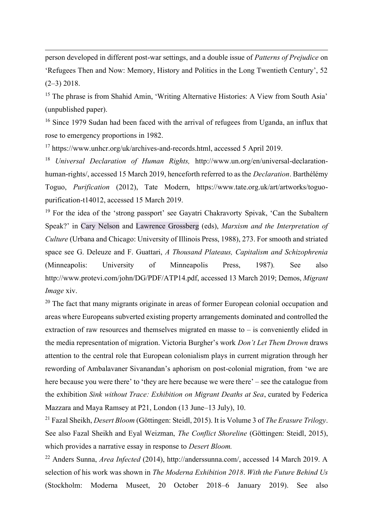person developed in different post-war settings, and a double issue of *Patterns of Prejudice* on 'Refugees Then and Now: Memory, History and Politics in the Long Twentieth Century', 52  $(2-3)$  2018.

<sup>15</sup> The phrase is from Shahid Amin, 'Writing Alternative Histories: A View from South Asia' (unpublished paper).

<sup>16</sup> Since 1979 Sudan had been faced with the arrival of refugees from Uganda, an influx that rose to emergency proportions in 1982.

<sup>17</sup> https://www.unhcr.org/uk/archives-and-records.html, accessed 5 April 2019.

<sup>18</sup> *Universal Declaration of Human Rights,* http://www.un.org/en/universal-declarationhuman-rights/, accessed 15 March 2019, henceforth referred to as the *Declaration*. Barthélémy Toguo, *Purification* (2012), Tate Modern, https://www.tate.org.uk/art/artworks/toguopurification-t14012, accessed 15 March 2019.

<sup>19</sup> For the idea of the 'strong passport' see Gayatri Chakravorty Spivak, 'Can the Subaltern Speak?' in Cary Nelson and Lawrence Grossberg (eds), *Marxism and the Interpretation of Culture* (Urbana and Chicago: University of Illinois Press, 1988), 273. For smooth and striated space see G. Deleuze and F. Guattari, *A Thousand Plateaus, Capitalism and Schizophrenia* (Minneapolis: University of Minneapolis Press, 1987)*.* See also http://www.protevi.com/john/DG/PDF/ATP14.pdf, accessed 13 March 2019; Demos, *Migrant Image* xiv.

 $20$  The fact that many migrants originate in areas of former European colonial occupation and areas where Europeans subverted existing property arrangements dominated and controlled the extraction of raw resources and themselves migrated en masse to – is conveniently elided in the media representation of migration. Victoria Burgher's work *Don't Let Them Drown* draws attention to the central role that European colonialism plays in current migration through her rewording of Ambalavaner Sivanandan's aphorism on post-colonial migration, from 'we are here because you were there' to 'they are here because we were there' – see the catalogue from the exhibition *Sink without Trace: Exhibition on Migrant Deaths at Sea*, curated by Federica Mazzara and Maya Ramsey at P21, London (13 June–13 July), 10.

<sup>21</sup> Fazal Sheikh, *Desert Bloom* (Göttingen: Steidl, 2015). It is Volume 3 of *The Erasure Trilogy*. See also Fazal Sheikh and Eyal Weizman, *The Conflict Shoreline* (Göttingen: Steidl, 2015), which provides a narrative essay in response to *Desert Bloom.*

<sup>22</sup> Anders Sunna, *Area Infected* (2014), http://anderssunna.com/, accessed 14 March 2019. A selection of his work was shown in *The Moderna Exhibition 2018*. *With the Future Behind Us* (Stockholm: Moderna Museet, 20 October 2018–6 January 2019). See also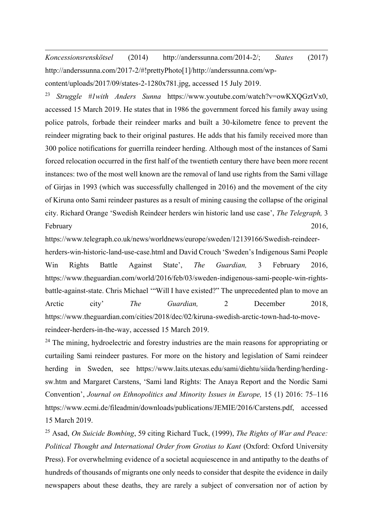*Koncessionsrenskötsel* (2014) http://anderssunna.com/2014-2/; *States* (2017) http://anderssunna.com/2017-2/#!prettyPhoto[1]/http://anderssunna.com/wpcontent/uploads/2017/09/states-2-1280x781.jpg, accessed 15 July 2019.

<sup>23</sup> *Struggle #1with Anders Sunna* https://www.youtube.com/watch?v=owKXQGztVx0, accessed 15 March 2019. He states that in 1986 the government forced his family away using police patrols, forbade their reindeer marks and built a 30-kilometre fence to prevent the reindeer migrating back to their original pastures. He adds that his family received more than 300 police notifications for guerrilla reindeer herding. Although most of the instances of Sami forced relocation occurred in the first half of the twentieth century there have been more recent instances: two of the most well known are the removal of land use rights from the Sami village of Girjas in 1993 (which was successfully challenged in 2016) and the movement of the city of Kiruna onto Sami reindeer pastures as a result of mining causing the collapse of the original city. Richard Orange 'Swedish Reindeer herders win historic land use case', *The Telegraph,* 3 February 2016,

https://www.telegraph.co.uk/news/worldnews/europe/sweden/12139166/Swedish-reindeerherders-win-historic-land-use-case.html and David Crouch 'Sweden's Indigenous Sami People Win Rights Battle Against State', *The Guardian,* 3 February 2016, https://www.theguardian.com/world/2016/feb/03/sweden-indigenous-sami-people-win-rightsbattle-against-state. Chris Michael '"Will I have existed?" The unprecedented plan to move an Arctic city' *The Guardian*, 2 December 2018, https://www.theguardian.com/cities/2018/dec/02/kiruna-swedish-arctic-town-had-to-movereindeer-herders-in-the-way, accessed 15 March 2019.

<sup>24</sup> The mining, hydroelectric and forestry industries are the main reasons for appropriating or curtailing Sami reindeer pastures. For more on the history and legislation of Sami reindeer herding in Sweden, see https://www.laits.utexas.edu/sami/diehtu/siida/herding/herdingsw.htm and Margaret Carstens, 'Sami land Rights: The Anaya Report and the Nordic Sami Convention', *Journal on Ethnopolitics and Minority Issues in Europe,* 15 (1) 2016: 75–116 https://www.ecmi.de/fileadmin/downloads/publications/JEMIE/2016/Carstens.pdf, accessed 15 March 2019.

<sup>25</sup> Asad, *On Suicide Bombing*, 59 citing Richard Tuck, (1999), *The Rights of War and Peace: Political Thought and International Order from Grotius to Kant* (Oxford: Oxford University Press). For overwhelming evidence of a societal acquiescence in and antipathy to the deaths of hundreds of thousands of migrants one only needs to consider that despite the evidence in daily newspapers about these deaths, they are rarely a subject of conversation nor of action by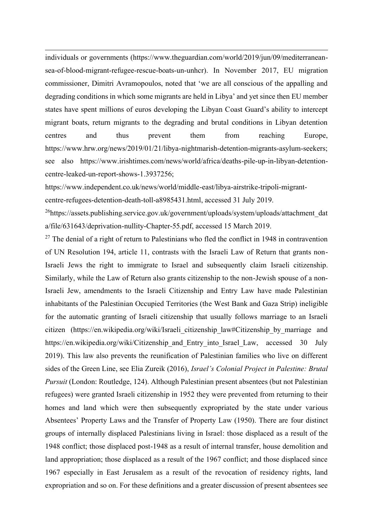individuals or governments (https://www.theguardian.com/world/2019/jun/09/mediterraneansea-of-blood-migrant-refugee-rescue-boats-un-unhcr). In November 2017, EU migration commissioner, Dimitri Avramopoulos, noted that 'we are all conscious of the appalling and degrading conditions in which some migrants are held in Libya' and yet since then EU member states have spent millions of euros developing the Libyan Coast Guard's ability to intercept migrant boats, return migrants to the degrading and brutal conditions in Libyan detention centres and thus prevent them from reaching Europe, https://www.hrw.org/news/2019/01/21/libya-nightmarish-detention-migrants-asylum-seekers; see also https://www.irishtimes.com/news/world/africa/deaths-pile-up-in-libyan-detentioncentre-leaked-un-report-shows-1.3937256;

https://www.independent.co.uk/news/world/middle-east/libya-airstrike-tripoli-migrant-

centre-refugees-detention-death-toll-a8985431.html, accessed 31 July 2019.

 $^{26}$ https://assets.publishing.service.gov.uk/government/uploads/system/uploads/attachment\_dat a/file/631643/deprivation-nullity-Chapter-55.pdf, accessed 15 March 2019.

 $27$  The denial of a right of return to Palestinians who fled the conflict in 1948 in contravention of UN Resolution 194, article 11, contrasts with the Israeli Law of Return that grants non-Israeli Jews the right to immigrate to Israel and subsequently claim Israeli citizenship. Similarly, while the Law of Return also grants citizenship to the non-Jewish spouse of a non-Israeli Jew, amendments to the Israeli Citizenship and Entry Law have made Palestinian inhabitants of the Palestinian Occupied Territories (the West Bank and Gaza Strip) ineligible for the automatic granting of Israeli citizenship that usually follows marriage to an Israeli citizen (https://en.wikipedia.org/wiki/Israeli\_citizenship\_law#Citizenship\_by\_marriage and https://en.wikipedia.org/wiki/Citizenship\_and\_Entry\_into\_Israel\_Law,\_accessed 30 July 2019). This law also prevents the reunification of Palestinian families who live on different sides of the Green Line, see Elia Zureik (2016), *Israel's Colonial Project in Palestine: Brutal Pursuit* (London: Routledge, 124). Although Palestinian present absentees (but not Palestinian refugees) were granted Israeli citizenship in 1952 they were prevented from returning to their homes and land which were then subsequently expropriated by the state under various Absentees' Property Laws and the Transfer of Property Law (1950). There are four distinct groups of internally displaced Palestinians living in Israel: those displaced as a result of the 1948 conflict; those displaced post-1948 as a result of internal transfer, house demolition and land appropriation; those displaced as a result of the 1967 conflict; and those displaced since 1967 especially in East Jerusalem as a result of the revocation of residency rights, land expropriation and so on. For these definitions and a greater discussion of present absentees see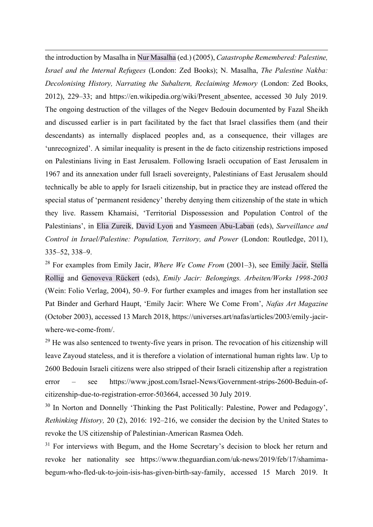the introduction by Masalha in Nur Masalha (ed.) (2005), *Catastrophe Remembered: Palestine, Israel and the Internal Refugees* (London: Zed Books); N. Masalha, *The Palestine Nakba: Decolonising History, Narrating the Subaltern, Reclaiming Memory* (London: Zed Books, 2012), 229–33; and https://en.wikipedia.org/wiki/Present\_absentee, accessed 30 July 2019. The ongoing destruction of the villages of the Negev Bedouin documented by Fazal Sheikh and discussed earlier is in part facilitated by the fact that Israel classifies them (and their descendants) as internally displaced peoples and, as a consequence, their villages are 'unrecognized'. A similar inequality is present in the de facto citizenship restrictions imposed on Palestinians living in East Jerusalem. Following Israeli occupation of East Jerusalem in 1967 and its annexation under full Israeli sovereignty, Palestinians of East Jerusalem should technically be able to apply for Israeli citizenship, but in practice they are instead offered the special status of 'permanent residency' thereby denying them citizenship of the state in which they live. Rassem Khamaisi, 'Territorial Dispossession and Population Control of the Palestinians', in Elia Zureik, David Lyon and Yasmeen Abu-Laban (eds), *Surveillance and Control in Israel/Palestine: Population, Territory, and Power* (London: Routledge, 2011), 335–52, 338–9.

<sup>28</sup> For examples from Emily Jacir, *Where We Come From* (2001–3), see Emily Jacir, Stella Rollig and Genoveva Rückert (eds), *Emily Jacir: Belongings. Arbeiten/Works 1998-2003* (Wein: Folio Verlag, 2004), 50–9. For further examples and images from her installation see Pat Binder and Gerhard Haupt, 'Emily Jacir: Where We Come From', *Nafas Art Magazine* (October 2003), accessed 13 March 2018, https://universes.art/nafas/articles/2003/emily-jacirwhere-we-come-from/.

 $29$  He was also sentenced to twenty-five years in prison. The revocation of his citizenship will leave Zayoud stateless, and it is therefore a violation of international human rights law. Up to 2600 Bedouin Israeli citizens were also stripped of their Israeli citizenship after a registration error – see https://www.jpost.com/Israel-News/Government-strips-2600-Beduin-ofcitizenship-due-to-registration-error-503664, accessed 30 July 2019.

<sup>30</sup> In Norton and Donnelly 'Thinking the Past Politically: Palestine, Power and Pedagogy', *Rethinking History,* 20 (2), 2016: 192–216, we consider the decision by the United States to revoke the US citizenship of Palestinian-American Rasmea Odeh.

 $31$  For interviews with Begum, and the Home Secretary's decision to block her return and revoke her nationality see https://www.theguardian.com/uk-news/2019/feb/17/shamimabegum-who-fled-uk-to-join-isis-has-given-birth-say-family, accessed 15 March 2019. It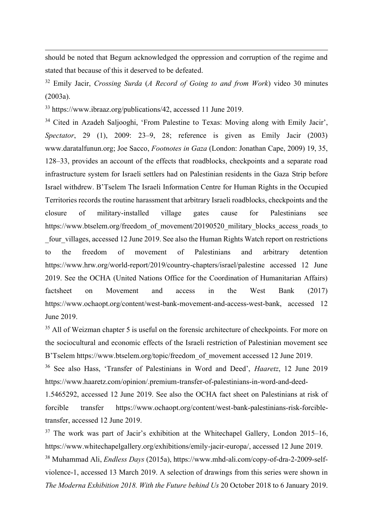should be noted that Begum acknowledged the oppression and corruption of the regime and stated that because of this it deserved to be defeated.

<sup>32</sup> Emily Jacir, *Crossing Surda* (*A Record of Going to and from Work*) video 30 minutes (2003a).

<sup>33</sup> https://www.ibraaz.org/publications/42, accessed 11 June 2019.

<sup>34</sup> Cited in Azadeh Saljooghi, 'From Palestine to Texas: Moving along with Emily Jacir', *Spectator*, 29 (1), 2009: 23–9, 28; reference is given as Emily Jacir (2003) www.daratalfunun.org; Joe Sacco, *Footnotes in Gaza* (London: Jonathan Cape, 2009) 19, 35, 128–33, provides an account of the effects that roadblocks, checkpoints and a separate road infrastructure system for Israeli settlers had on Palestinian residents in the Gaza Strip before Israel withdrew. B'Tselem The Israeli Information Centre for Human Rights in the Occupied Territories records the routine harassment that arbitrary Israeli roadblocks, checkpoints and the closure of military-installed village gates cause for Palestinians see https://www.btselem.org/freedom\_of\_movement/20190520\_military\_blocks\_access\_roads\_to four villages, accessed 12 June 2019. See also the Human Rights Watch report on restrictions to the freedom of movement of Palestinians and arbitrary detention https://www.hrw.org/world-report/2019/country-chapters/israel/palestine accessed 12 June 2019. See the OCHA (United Nations Office for the Coordination of Humanitarian Affairs) factsheet on Movement and access in the West Bank (2017) https://www.ochaopt.org/content/west-bank-movement-and-access-west-bank, accessed 12 June 2019.

<sup>35</sup> All of Weizman chapter 5 is useful on the forensic architecture of checkpoints. For more on the sociocultural and economic effects of the Israeli restriction of Palestinian movement see B'Tselem https://www.btselem.org/topic/freedom\_of\_movement accessed 12 June 2019.

<sup>36</sup> See also Hass, 'Transfer of Palestinians in Word and Deed', *Haaretz*, 12 June 2019 https://www.haaretz.com/opinion/.premium-transfer-of-palestinians-in-word-and-deed-

1.5465292, accessed 12 June 2019. See also the OCHA fact sheet on Palestinians at risk of forcible transfer https://www.ochaopt.org/content/west-bank-palestinians-risk-forcibletransfer, accessed 12 June 2019.

 $37$  The work was part of Jacir's exhibition at the Whitechapel Gallery, London 2015–16, https://www.whitechapelgallery.org/exhibitions/emily-jacir-europa/, accessed 12 June 2019. <sup>38</sup> Muhammad Ali, *Endless Days* (2015a), https://www.mhd-ali.com/copy-of-dra-2-2009-self-

violence-1, accessed 13 March 2019. A selection of drawings from this series were shown in *The Moderna Exhibition 2018. With the Future behind Us* 20 October 2018 to 6 January 2019.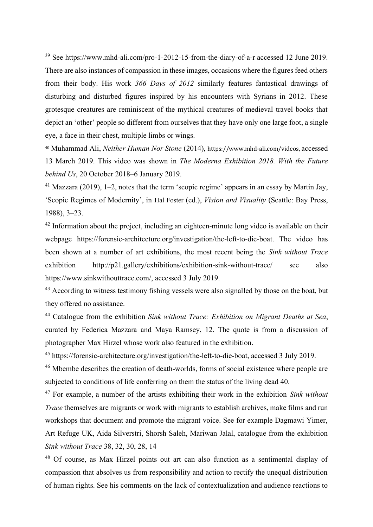<sup>39</sup> See https://www.mhd-ali.com/pro-1-2012-15-from-the-diary-of-a-r accessed 12 June 2019. There are also instances of compassion in these images, occasions where the figures feed others from their body. His work *366 Days of 2012* similarly features fantastical drawings of disturbing and disturbed figures inspired by his encounters with Syrians in 2012. These grotesque creatures are reminiscent of the mythical creatures of medieval travel books that depict an 'other' people so different from ourselves that they have only one large foot, a single eye, a face in their chest, multiple limbs or wings.

<sup>40</sup> Muhammad Ali, *Neither Human Nor Stone* (2014), https://www.mhd-ali.com/videos, accessed 13 March 2019. This video was shown in *The Moderna Exhibition 2018. With the Future behind Us*, 20 October 2018–6 January 2019.

<sup>41</sup> Mazzara (2019), 1–2, notes that the term 'scopic regime' appears in an essay by Martin Jay, 'Scopic Regimes of Modernity', in Hal Foster (ed.), *Vision and Visuality* (Seattle: Bay Press, 1988), 3–23.

 $42$  Information about the project, including an eighteen-minute long video is available on their webpage https://forensic-architecture.org/investigation/the-left-to-die-boat. The video has been shown at a number of art exhibitions, the most recent being the *Sink without Trace* exhibition http://p21.gallery/exhibitions/exhibition-sink-without-trace/ see also https://www.sinkwithouttrace.com/, accessed 3 July 2019.

<sup>43</sup> According to witness testimony fishing vessels were also signalled by those on the boat, but they offered no assistance.

<sup>44</sup> Catalogue from the exhibition *Sink without Trace: Exhibition on Migrant Deaths at Sea*, curated by Federica Mazzara and Maya Ramsey, 12. The quote is from a discussion of photographer Max Hirzel whose work also featured in the exhibition.

<sup>45</sup> https://forensic-architecture.org/investigation/the-left-to-die-boat, accessed 3 July 2019.

<sup>46</sup> Mbembe describes the creation of death-worlds, forms of social existence where people are subjected to conditions of life conferring on them the status of the living dead 40.

<sup>47</sup> For example, a number of the artists exhibiting their work in the exhibition *Sink without Trace* themselves are migrants or work with migrants to establish archives, make films and run workshops that document and promote the migrant voice. See for example Dagmawi Yimer, Art Refuge UK, Aida Silverstri, Shorsh Saleh, Mariwan Jalal, catalogue from the exhibition *Sink without Trace* 38, 32, 30, 28, 14

<sup>48</sup> Of course, as Max Hirzel points out art can also function as a sentimental display of compassion that absolves us from responsibility and action to rectify the unequal distribution of human rights. See his comments on the lack of contextualization and audience reactions to